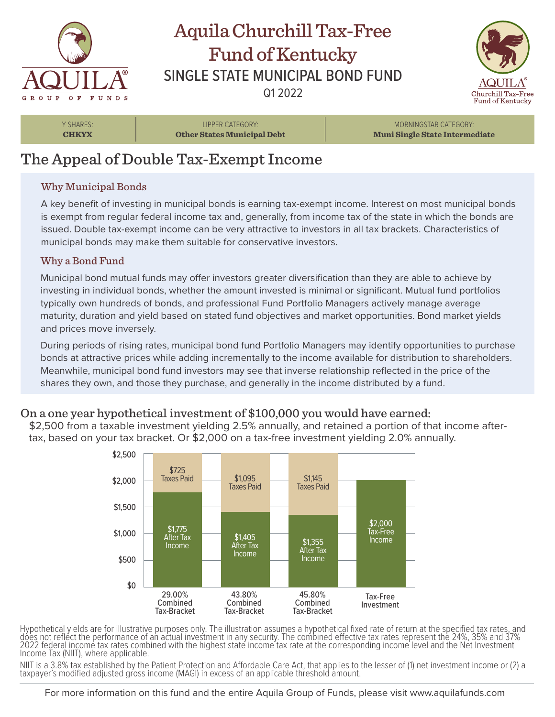

## Aquila Churchill Tax-Free Fund of Kentucky SINGLE STATE MUNICIPAL BOND FUND Q1 2022



Y SHARES: **CHKYX**

LIPPER CATEGORY: **Other States Municipal Debt**

MORNINGSTAR CATEGORY: **Muni Single State Intermediate**

# The Appeal of Double Tax-Exempt Income

### Why Municipal Bonds

A key benefit of investing in municipal bonds is earning tax-exempt income. Interest on most municipal bonds is exempt from regular federal income tax and, generally, from income tax of the state in which the bonds are issued. Double tax-exempt income can be very attractive to investors in all tax brackets. Characteristics of municipal bonds may make them suitable for conservative investors.

#### Why a Bond Fund

Municipal bond mutual funds may offer investors greater diversification than they are able to achieve by investing in individual bonds, whether the amount invested is minimal or significant. Mutual fund portfolios typically own hundreds of bonds, and professional Fund Portfolio Managers actively manage average maturity, duration and yield based on stated fund objectives and market opportunities. Bond market yields and prices move inversely.

During periods of rising rates, municipal bond fund Portfolio Managers may identify opportunities to purchase bonds at attractive prices while adding incrementally to the income available for distribution to shareholders. Meanwhile, municipal bond fund investors may see that inverse relationship reflected in the price of the shares they own, and those they purchase, and generally in the income distributed by a fund.

### On a one year hypothetical investment of \$100,000 you would have earned:

\$2,500 from a taxable investment yielding 2.5% annually, and retained a portion of that income aftertax, based on your tax bracket. Or \$2,000 on a tax-free investment yielding 2.0% annually.



Hypothetical yields are for illustrative purposes only. The illustration assumes a hypothetical fixed rate of return at the specified tax rates, and does not reflect the performance of an actual investment in any security. The combined effective tax rates represent the 24%, 35% and 37% 2022 federal income tax rates combined with the highest state income tax rate at the corresponding income level and the Net Investment Income Tax (NIIT), where applicable.

NIIT is a 3.8% tax established by the Patient Protection and Affordable Care Act, that applies to the lesser of (1) net investment income or (2) a taxpayer's modified adjusted gross income (MAGI) in excess of an applicable threshold amount.